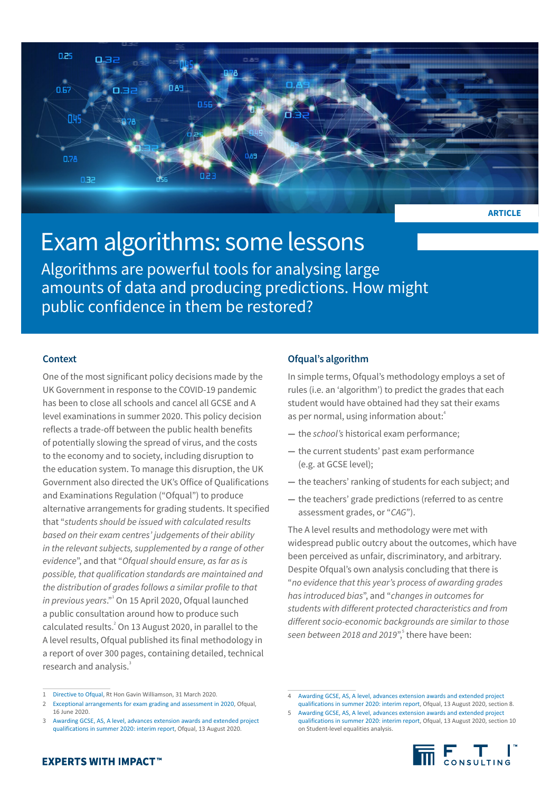

# Exam algorithms: some lessons

Algorithms are powerful tools for analysing large amounts of data and producing predictions. How might public confidence in them be restored?

## **Context**

One of the most significant policy decisions made by the UK Government in response to the COVID-19 pandemic has been to close all schools and cancel all GCSE and A level examinations in summer 2020. This policy decision reflects a trade-off between the public health benefits of potentially slowing the spread of virus, and the costs to the economy and to society, including disruption to the education system. To manage this disruption, the UK Government also directed the UK's Office of Qualifications and Examinations Regulation ("Ofqual") to produce alternative arrangements for grading students. It specified that "*students should be issued with calculated results based on their exam centres' judgements of their ability in the relevant subjects, supplemented by a range of other evidence*", and that "*Ofqual should ensure, as far as is possible, that qualification standards are maintained and the distribution of grades follows a similar profile to that*  in previous years."<sup>1</sup> On 15 April 2020, Ofqual launched a public consultation around how to produce such calculated results.<sup>2</sup> On 13 August 2020, in parallel to the A level results, Ofqual published its final methodology in a report of over 300 pages, containing detailed, technical research and analysis.<sup>3</sup>

## **Ofqual's algorithm**

In simple terms, Ofqual's methodology employs a set of rules (i.e. an 'algorithm') to predict the grades that each student would have obtained had they sat their exams as per normal, using information about:<sup>4</sup> i,

- **—** the *school's* historical exam performance;
- **—** the current students' past exam performance (e.g. at GCSE level);
- **—** the teachers' ranking of students for each subject; and
- **—** the teachers' grade predictions (referred to as centre assessment grades, or "*CAG*").

The A level results and methodology were met with widespread public outcry about the outcomes, which have been perceived as unfair, discriminatory, and arbitrary. Despite Ofqual's own analysis concluding that there is "*no evidence that this year's process of awarding grades has introduced bias*", and "*changes in outcomes for students with different protected characteristics and from different socio-economic backgrounds are similar to those*  seen between 2018 and 2019",<sup>5</sup> there have been:

2 [Exceptional arrangements for exam grading and assessment in 2020,](https://www.gov.uk/government/consultations/exceptional-arrangements-for-exam-grading-and-assessment-in-2020) Ofqual, 16 June 2020.

<sup>5</sup> [Awarding GCSE, AS, A level, advances extension awards and extended project](https://assets.publishing.service.gov.uk/government/uploads/system/uploads/attachment_data/file/909368/6656-1_Awarding_GCSE__AS__A_level__advanced_extension_awards_and_extended_project_qualifications_in_summer_2020_-_interim_report.pdf)  [qualifications in summer 2020: interim report](https://assets.publishing.service.gov.uk/government/uploads/system/uploads/attachment_data/file/909368/6656-1_Awarding_GCSE__AS__A_level__advanced_extension_awards_and_extended_project_qualifications_in_summer_2020_-_interim_report.pdf), Ofqual, 13 August 2020, section 10 on Student-level equalities analysis.



<sup>1</sup> [Directive to Ofqual,](https://assets.publishing.service.gov.uk/government/uploads/system/uploads/attachment_data/file/877611/Letter_from_Secretary_of_State_for_Education_to_Sally_Collier.pdf) Rt Hon Gavin Williamson, 31 March 2020.

Awarding GCSE, AS, A level, advances extension awards and extended project [qualifications in summer 2020: interim report,](https://assets.publishing.service.gov.uk/government/uploads/system/uploads/attachment_data/file/909368/6656-1_Awarding_GCSE__AS__A_level__advanced_extension_awards_and_extended_project_qualifications_in_summer_2020_-_interim_report.pdf) Ofqual, 13 August 2020.

<sup>4</sup> [Awarding GCSE, AS, A level, advances extension awards and extended project](https://assets.publishing.service.gov.uk/government/uploads/system/uploads/attachment_data/file/909368/6656-1_Awarding_GCSE__AS__A_level__advanced_extension_awards_and_extended_project_qualifications_in_summer_2020_-_interim_report.pdf)  [qualifications in summer 2020: interim report](https://assets.publishing.service.gov.uk/government/uploads/system/uploads/attachment_data/file/909368/6656-1_Awarding_GCSE__AS__A_level__advanced_extension_awards_and_extended_project_qualifications_in_summer_2020_-_interim_report.pdf), Ofqual, 13 August 2020, section 8.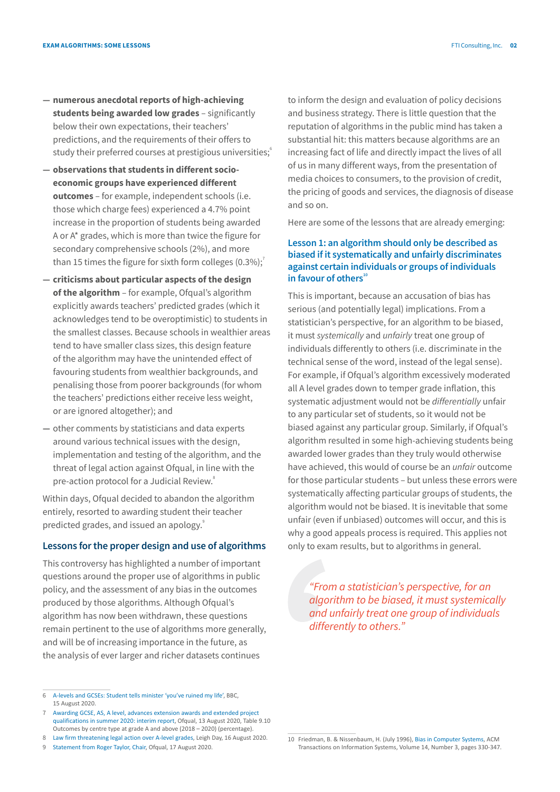- **— numerous anecdotal reports of high-achieving students being awarded low grades** – significantly below their own expectations, their teachers' predictions, and the requirements of their offers to study their preferred courses at prestigious universities;
- **— observations that students in different socioeconomic groups have experienced different outcomes** – for example, independent schools (i.e. those which charge fees) experienced a 4.7% point increase in the proportion of students being awarded A or A\* grades, which is more than twice the figure for secondary comprehensive schools (2%), and more than 15 times the figure for sixth form colleges  $(0.3\%)$ ;
- **— criticisms about particular aspects of the design of the algorithm** – for example, Ofqual's algorithm explicitly awards teachers' predicted grades (which it acknowledges tend to be overoptimistic) to students in the smallest classes. Because schools in wealthier areas tend to have smaller class sizes, this design feature of the algorithm may have the unintended effect of favouring students from wealthier backgrounds, and penalising those from poorer backgrounds (for whom the teachers' predictions either receive less weight, or are ignored altogether); and
- **—** other comments by statisticians and data experts around various technical issues with the design, implementation and testing of the algorithm, and the threat of legal action against Ofqual, in line with the pre-action protocol for a Judicial Review.<sup>8</sup>

Within days, Ofqual decided to abandon the algorithm entirely, resorted to awarding student their teacher predicted grades, and issued an apology.<sup>9</sup>

#### **Lessons for the proper design and use of algorithms**

This controversy has highlighted a number of important questions around the proper use of algorithms in public policy, and the assessment of any bias in the outcomes produced by those algorithms. Although Ofqual's algorithm has now been withdrawn, these questions remain pertinent to the use of algorithms more generally, and will be of increasing importance in the future, as the analysis of ever larger and richer datasets continues

9 [Statement from Roger Taylor, Chair,](https://www.gov.uk/government/news/statement-from-roger-taylor-chair-ofqual) Ofqual, 17 August 2020.

to inform the design and evaluation of policy decisions and business strategy. There is little question that the reputation of algorithms in the public mind has taken a substantial hit: this matters because algorithms are an increasing fact of life and directly impact the lives of all of us in many different ways, from the presentation of media choices to consumers, to the provision of credit, the pricing of goods and services, the diagnosis of disease and so on.

Here are some of the lessons that are already emerging:

## **Lesson 1: an algorithm should only be described as biased if it systematically and unfairly discriminates against certain individuals or groups of individuals**  in favour of others<sup>10</sup>

This is important, because an accusation of bias has serious (and potentially legal) implications. From a statistician's perspective, for an algorithm to be biased, it must *systemically* and *unfairly* treat one group of individuals differently to others (i.e. discriminate in the technical sense of the word, instead of the legal sense). For example, if Ofqual's algorithm excessively moderated all A level grades down to temper grade inflation, this systematic adjustment would not be *differentially* unfair to any particular set of students, so it would not be biased against any particular group. Similarly, if Ofqual's algorithm resulted in some high-achieving students being awarded lower grades than they truly would otherwise have achieved, this would of course be an *unfair* outcome for those particular students – but unless these errors were systematically affecting particular groups of students, the algorithm would not be biased. It is inevitable that some unfair (even if unbiased) outcomes will occur, and this is why a good appeals process is required. This applies not only to exam results, but to algorithms in general.

*"From a statistician's perspective, for an algorithm to be biased, it must systemically and unfairly treat one group of individuals differently to others."*

<sup>6</sup> [A-levels and GCSEs: Student tells minister 'you've ruined my life',](https://www.bbc.co.uk/news/uk-53791736) BBC, 15 August 2020.

Awarding GCSE, AS, A level, advances extension awards and extended project [qualifications in summer 2020: interim report,](https://assets.publishing.service.gov.uk/government/uploads/system/uploads/attachment_data/file/909368/6656-1_Awarding_GCSE__AS__A_level__advanced_extension_awards_and_extended_project_qualifications_in_summer_2020_-_interim_report.pdf) Ofqual, 13 August 2020, Table 9.10 Outcomes by centre type at grade A and above (2018 – 2020) (percentage).

<sup>8</sup> [Law firm threatening legal action over A-level grades](https://www.leighday.co.uk/News/Press-releases-2020/August-2020/Law-firm-threatening-legal-action-over-A-level-gra), Leigh Day, 16 August 2020.

<sup>10</sup> Friedman, B. & Nissenbaum, H. (July 1996), [Bias in Computer Systems](https://nissenbaum.tech.cornell.edu/papers/biasincomputers.pdf), ACM Transactions on Information Systems, Volume 14, Number 3, pages 330-347.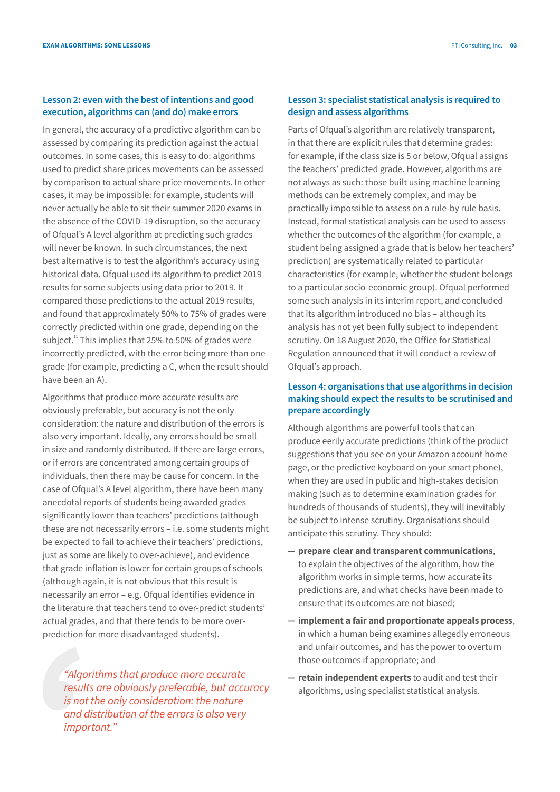#### **Lesson 2: even with the best of intentions and good execution, algorithms can (and do) make errors**

In general, the accuracy of a predictive algorithm can be assessed by comparing its prediction against the actual outcomes. In some cases, this is easy to do: algorithms used to predict share prices movements can be assessed by comparison to actual share price movements. In other cases, it may be impossible: for example, students will never actually be able to sit their summer 2020 exams in the absence of the COVID-19 disruption, so the accuracy of Ofqual's A level algorithm at predicting such grades will never be known. In such circumstances, the next best alternative is to test the algorithm's accuracy using historical data. Ofqual used its algorithm to predict 2019 results for some subjects using data prior to 2019. It compared those predictions to the actual 2019 results, and found that approximately 50% to 75% of grades were correctly predicted within one grade, depending on the subject.<sup>11</sup> This implies that 25% to 50% of grades were incorrectly predicted, with the error being more than one grade (for example, predicting a C, when the result should have been an A).

Algorithms that produce more accurate results are obviously preferable, but accuracy is not the only consideration: the nature and distribution of the errors is also very important. Ideally, any errors should be small in size and randomly distributed. If there are large errors, or if errors are concentrated among certain groups of individuals, then there may be cause for concern. In the case of Ofqual's A level algorithm, there have been many anecdotal reports of students being awarded grades significantly lower than teachers' predictions (although these are not necessarily errors – i.e. some students might be expected to fail to achieve their teachers' predictions, just as some are likely to over-achieve), and evidence that grade inflation is lower for certain groups of schools (although again, it is not obvious that this result is necessarily an error – e.g. Ofqual identifies evidence in the literature that teachers tend to over-predict students' actual grades, and that there tends to be more overprediction for more disadvantaged students).

*"Algorithms that produce more accurate results are obviously preferable, but accuracy is not the only consideration: the nature and distribution of the errors is also very important."*

#### **Lesson 3: specialist statistical analysis is required to design and assess algorithms**

Parts of Ofqual's algorithm are relatively transparent, in that there are explicit rules that determine grades: for example, if the class size is 5 or below, Ofqual assigns the teachers' predicted grade. However, algorithms are not always as such: those built using machine learning methods can be extremely complex, and may be practically impossible to assess on a rule-by rule basis. Instead, formal statistical analysis can be used to assess whether the outcomes of the algorithm (for example, a student being assigned a grade that is below her teachers' prediction) are systematically related to particular characteristics (for example, whether the student belongs to a particular socio-economic group). Ofqual performed some such analysis in its interim report, and concluded that its algorithm introduced no bias – although its analysis has not yet been fully subject to independent scrutiny. On 18 August 2020, the Office for Statistical Regulation announced that it will conduct a review of Ofqual's approach.

## **Lesson 4: organisations that use algorithms in decision making should expect the results to be scrutinised and prepare accordingly**

Although algorithms are powerful tools that can produce eerily accurate predictions (think of the product suggestions that you see on your Amazon account home page, or the predictive keyboard on your smart phone), when they are used in public and high-stakes decision making (such as to determine examination grades for hundreds of thousands of students), they will inevitably be subject to intense scrutiny. Organisations should anticipate this scrutiny. They should:

- **— prepare clear and transparent communications**, to explain the objectives of the algorithm, how the algorithm works in simple terms, how accurate its predictions are, and what checks have been made to ensure that its outcomes are not biased;
- **— implement a fair and proportionate appeals process**, in which a human being examines allegedly erroneous and unfair outcomes, and has the power to overturn those outcomes if appropriate; and
- **— retain independent experts** to audit and test their algorithms, using specialist statistical analysis.